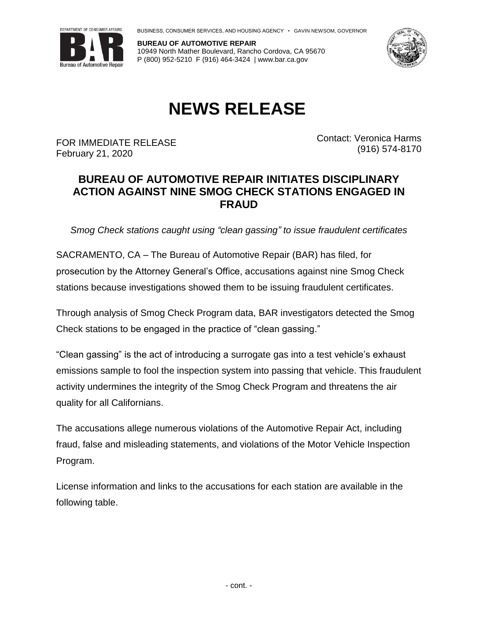

BUSINESS, CONSUMER SERVICES, AND HOUSING AGENCY • GAVIN NEWSOM, GOVERNOR

**BUREAU OF AUTOMOTIVE REPAIR** 10949 North Mather Boulevard, Rancho Cordova, CA 95670 P (800) 952-5210 F (916) 464-3424 | www.bar.ca.gov



## **NEWS RELEASE**

FOR IMMEDIATE RELEASE February 21, 2020

Contact: Veronica Harms (916) 574-8170

## **BUREAU OF AUTOMOTIVE REPAIR INITIATES DISCIPLINARY ACTION AGAINST NINE SMOG CHECK STATIONS ENGAGED IN FRAUD**

*Smog Check stations caught using "clean gassing" to issue fraudulent certificates*

SACRAMENTO, CA – The Bureau of Automotive Repair (BAR) has filed, for prosecution by the Attorney General's Office, accusations against nine Smog Check stations because investigations showed them to be issuing fraudulent certificates.

Through analysis of Smog Check Program data, BAR investigators detected the Smog Check stations to be engaged in the practice of "clean gassing."

"Clean gassing" is the act of introducing a surrogate gas into a test vehicle's exhaust emissions sample to fool the inspection system into passing that vehicle. This fraudulent activity undermines the integrity of the Smog Check Program and threatens the air quality for all Californians.

The accusations allege numerous violations of the Automotive Repair Act, including fraud, false and misleading statements, and violations of the Motor Vehicle Inspection Program.

License information and links to the accusations for each station are available in the following table.